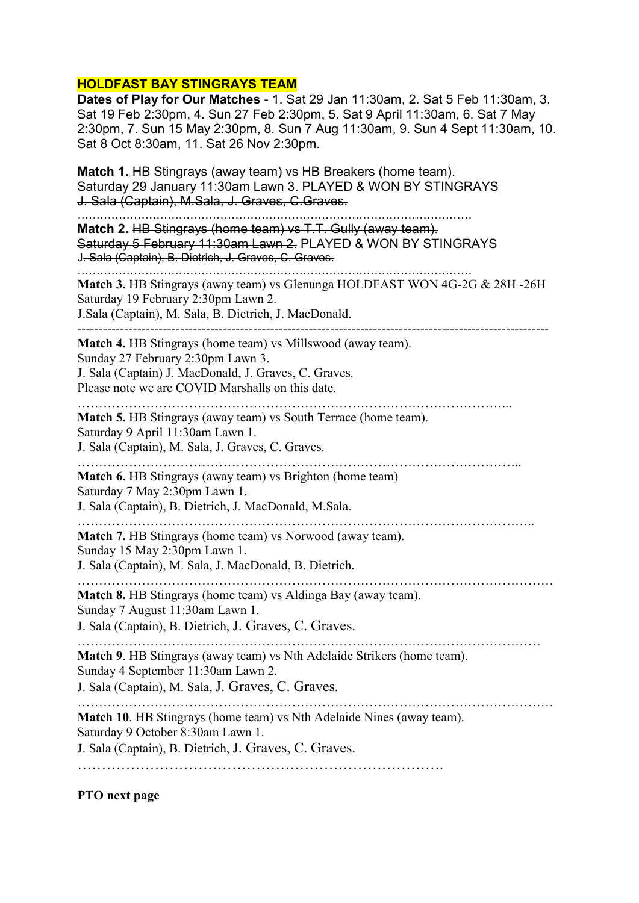## HOLDFAST BAY STINGRAYS TEAM

Dates of Play for Our Matches - 1. Sat 29 Jan 11:30am, 2. Sat 5 Feb 11:30am, 3. Sat 19 Feb 2:30pm, 4. Sun 27 Feb 2:30pm, 5. Sat 9 April 11:30am, 6. Sat 7 May 2:30pm, 7. Sun 15 May 2:30pm, 8. Sun 7 Aug 11:30am, 9. Sun 4 Sept 11:30am, 10. Sat 8 Oct 8:30am, 11. Sat 26 Nov 2:30pm.

Match 1. HB Stingrays (away team) vs HB Breakers (home team). Saturday 29 January 11:30am Lawn 3. PLAYED & WON BY STINGRAYS J. Sala (Captain), M.Sala, J. Graves, C.Graves.

……………………………………………………………………………………………

Match 2. HB Stingrays (home team) vs T.T. Gully (away team). Saturday 5 February 11:30am Lawn 2. PLAYED & WON BY STINGRAYS J. Sala (Captain), B. Dietrich, J. Graves, C. Graves.

…………………………………………………………………………………………… Match 3. HB Stingrays (away team) vs Glenunga HOLDFAST WON 4G-2G & 28H -26H Saturday 19 February 2:30pm Lawn 2. J.Sala (Captain), M. Sala, B. Dietrich, J. MacDonald.

--------------------------------------------------------------------------------------------------------------

Match 4. HB Stingrays (home team) vs Millswood (away team).

Sunday 27 February 2:30pm Lawn 3.

J. Sala (Captain) J. MacDonald, J. Graves, C. Graves. Please note we are COVID Marshalls on this date.

………………………………………………………………………………………...

Match 5. HB Stingrays (away team) vs South Terrace (home team).

Saturday 9 April 11:30am Lawn 1.

J. Sala (Captain), M. Sala, J. Graves, C. Graves.

………………………………………………………………………………………….. Match 6. HB Stingrays (away team) vs Brighton (home team)

Saturday 7 May 2:30pm Lawn 1.

J. Sala (Captain), B. Dietrich, J. MacDonald, M.Sala.

……………………………………………………………………………………………..

Match 7. HB Stingrays (home team) vs Norwood (away team). Sunday 15 May 2:30pm Lawn 1.

J. Sala (Captain), M. Sala, J. MacDonald, B. Dietrich.

………………………………………………………………………………………………… Match 8. HB Stingrays (home team) vs Aldinga Bay (away team). Sunday 7 August 11:30am Lawn 1.

J. Sala (Captain), B. Dietrich, J. Graves, C. Graves.

……………………………………………………………………………………………… Match 9. HB Stingrays (away team) vs Nth Adelaide Strikers (home team). Sunday 4 September 11:30am Lawn 2.

J. Sala (Captain), M. Sala, J. Graves, C. Graves.

………………………………………………………………………………………………… Match 10. HB Stingrays (home team) vs Nth Adelaide Nines (away team). Saturday 9 October 8:30am Lawn 1. J. Sala (Captain), B. Dietrich, J. Graves, C. Graves.

………………………………………………………………….

PTO next page